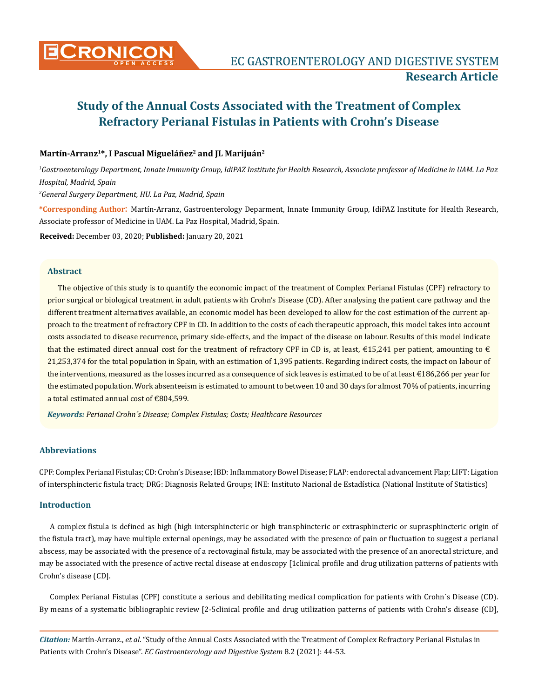

# Martín-Arranz<sup>1\*</sup>, I Pascual Migueláñez<sup>2</sup> and JL Marijuán<sup>2</sup>

*1 Gastroenterology Department, Innate Immunity Group, IdiPAZ Institute for Health Research, Associate professor of Medicine in UAM. La Paz Hospital, Madrid, Spain* 

*2 General Surgery Department, HU. La Paz, Madrid, Spain*

**\*Corresponding Author**: Martín-Arranz, Gastroenterology Deparment, Innate Immunity Group, IdiPAZ Institute for Health Research, Associate professor of Medicine in UAM. La Paz Hospital, Madrid, Spain.

**Received:** December 03, 2020; **Published:** January 20, 2021

#### **Abstract**

The objective of this study is to quantify the economic impact of the treatment of Complex Perianal Fistulas (CPF) refractory to prior surgical or biological treatment in adult patients with Crohn's Disease (CD). After analysing the patient care pathway and the different treatment alternatives available, an economic model has been developed to allow for the cost estimation of the current approach to the treatment of refractory CPF in CD. In addition to the costs of each therapeutic approach, this model takes into account costs associated to disease recurrence, primary side-effects, and the impact of the disease on labour. Results of this model indicate that the estimated direct annual cost for the treatment of refractory CPF in CD is, at least,  $\epsilon$ 15,241 per patient, amounting to  $\epsilon$ 21,253,374 for the total population in Spain, with an estimation of 1,395 patients. Regarding indirect costs, the impact on labour of the interventions, measured as the losses incurred as a consequence of sick leaves is estimated to be of at least €186,266 per year for the estimated population. Work absenteeism is estimated to amount to between 10 and 30 days for almost 70% of patients, incurring a total estimated annual cost of €804,599.

*Keywords: Perianal Crohn´s Disease; Complex Fistulas; Costs; Healthcare Resources*

# **Abbreviations**

CPF: Complex Perianal Fistulas; CD: Crohn's Disease; IBD: Inflammatory Bowel Disease; FLAP: endorectal advancement Flap; LIFT: Ligation of intersphincteric fistula tract; DRG: Diagnosis Related Groups; INE: Instituto Nacional de Estadística (National Institute of Statistics)

# **Introduction**

A complex fistula is defined as high (high intersphincteric or high transphincteric or extrasphincteric or suprasphincteric origin of the fistula tract), may have multiple external openings, may be associated with the presence of pain or fluctuation to suggest a perianal abscess, may be associated with the presence of a rectovaginal fistula, may be associated with the presence of an anorectal stricture, and may be associated with the presence of active rectal disease at endoscopy [1clinical profile and drug utilization patterns of patients with Crohn's disease (CD].

Complex Perianal Fistulas (CPF) constitute a serious and debilitating medical complication for patients with Crohn´s Disease (CD). By means of a systematic bibliographic review [2-5clinical profile and drug utilization patterns of patients with Crohn's disease (CD],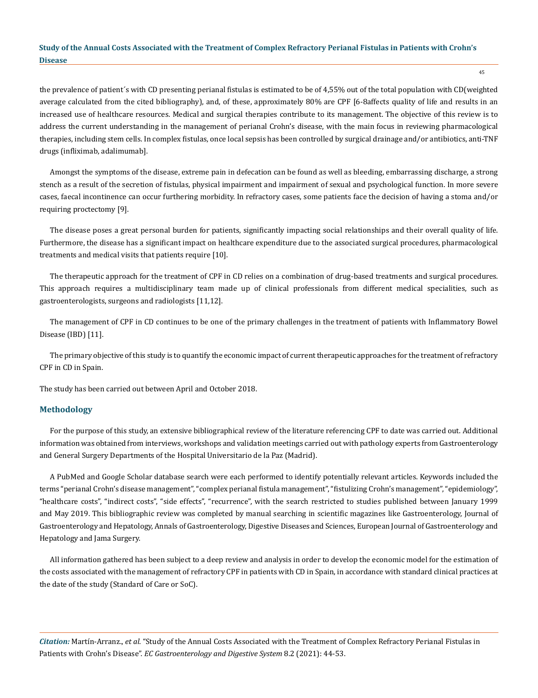45

the prevalence of patient´s with CD presenting perianal fistulas is estimated to be of 4,55% out of the total population with CD(weighted average calculated from the cited bibliography), and, of these, approximately 80% are CPF [6-8affects quality of life and results in an increased use of healthcare resources. Medical and surgical therapies contribute to its management. The objective of this review is to address the current understanding in the management of perianal Crohn's disease, with the main focus in reviewing pharmacological therapies, including stem cells. In complex fistulas, once local sepsis has been controlled by surgical drainage and/or antibiotics, anti-TNF drugs (infliximab, adalimumab].

Amongst the symptoms of the disease, extreme pain in defecation can be found as well as bleeding, embarrassing discharge, a strong stench as a result of the secretion of fistulas, physical impairment and impairment of sexual and psychological function. In more severe cases, faecal incontinence can occur furthering morbidity. In refractory cases, some patients face the decision of having a stoma and/or requiring proctectomy [9].

The disease poses a great personal burden for patients, significantly impacting social relationships and their overall quality of life. Furthermore, the disease has a significant impact on healthcare expenditure due to the associated surgical procedures, pharmacological treatments and medical visits that patients require [10].

The therapeutic approach for the treatment of CPF in CD relies on a combination of drug-based treatments and surgical procedures. This approach requires a multidisciplinary team made up of clinical professionals from different medical specialities, such as gastroenterologists, surgeons and radiologists [11,12].

The management of CPF in CD continues to be one of the primary challenges in the treatment of patients with Inflammatory Bowel Disease (IBD) [11].

The primary objective of this study is to quantify the economic impact of current therapeutic approaches for the treatment of refractory CPF in CD in Spain.

The study has been carried out between April and October 2018.

#### **Methodology**

For the purpose of this study, an extensive bibliographical review of the literature referencing CPF to date was carried out. Additional information was obtained from interviews, workshops and validation meetings carried out with pathology experts from Gastroenterology and General Surgery Departments of the Hospital Universitario de la Paz (Madrid).

A PubMed and Google Scholar database search were each performed to identify potentially relevant articles. Keywords included the terms "perianal Crohn's disease management", "complex perianal fistula management", "fistulizing Crohn's management", "epidemiology", "healthcare costs", "indirect costs", "side effects", "recurrence", with the search restricted to studies published between January 1999 and May 2019. This bibliographic review was completed by manual searching in scientific magazines like Gastroenterology, Journal of Gastroenterology and Hepatology, Annals of Gastroenterology, Digestive Diseases and Sciences, European Journal of Gastroenterology and Hepatology and Jama Surgery.

All information gathered has been subject to a deep review and analysis in order to develop the economic model for the estimation of the costs associated with the management of refractory CPF in patients with CD in Spain, in accordance with standard clinical practices at the date of the study (Standard of Care or SoC).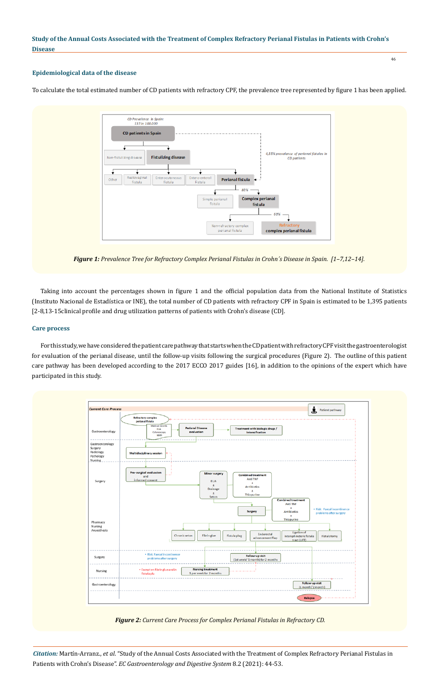## 46

# **Epidemiological data of the disease**

To calculate the total estimated number of CD patients with refractory CPF, the prevalence tree represented by figure 1 has been applied.



*Figure 1: Prevalence Tree for Refractory Complex Perianal Fistulas in Crohn´s Disease in Spain. [1–7,12–14].*

Taking into account the percentages shown in figure 1 and the official population data from the National Institute of Statistics (Instituto Nacional de Estadística or INE), the total number of CD patients with refractory CPF in Spain is estimated to be 1,395 patients [2-8,13-15clinical profile and drug utilization patterns of patients with Crohn's disease (CD].

# **Care process**

For this study, we have considered the patient care pathway that starts when the CD patient with refractory CPF visit the gastroenterologist for evaluation of the perianal disease, until the follow-up visits following the surgical procedures (Figure 2). The outline of this patient care pathway has been developed according to the 2017 ECCO 2017 guides [16], in addition to the opinions of the expert which have participated in this study.



*Figure 2: Current Care Process for Complex Perianal Fistulas in Refractory CD.*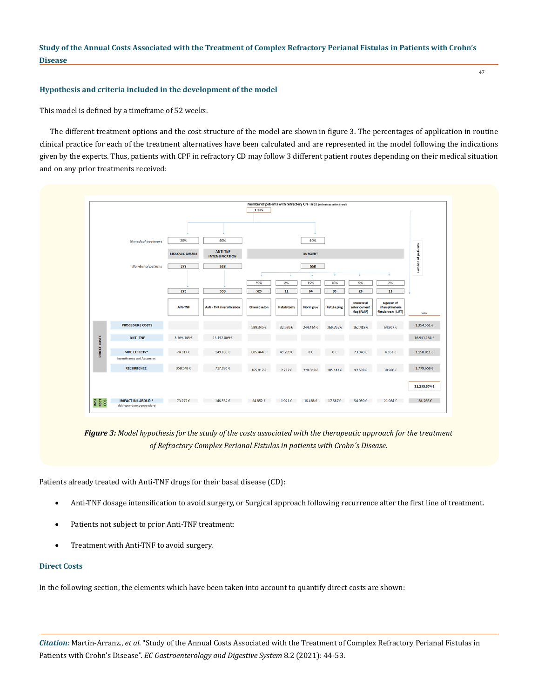## **Hypothesis and criteria included in the development of the model**

This model is defined by a timeframe of 52 weeks.

The different treatment options and the cost structure of the model are shown in figure 3. The percentages of application in routine clinical practice for each of the treatment alternatives have been calculated and are represented in the model following the indications given by the experts. Thus, patients with CPF in refractory CD may follow 3 different patient routes depending on their medical situation and on any prior treatments received:



*Figure 3: Model hypothesis for the study of the costs associated with the therapeutic approach for the treatment of Refractory Complex Perianal Fistulas in patients with Crohn´s Disease.*

Patients already treated with Anti-TNF drugs for their basal disease (CD):

- Anti-TNF dosage intensification to avoid surgery, or Surgical approach following recurrence after the first line of treatment.
- Patients not subject to prior Anti-TNF treatment:
- Treatment with Anti-TNF to avoid surgery.

#### **Direct Costs**

In the following section, the elements which have been taken into account to quantify direct costs are shown:

*Citation:* Martín-Arranz., *et al*. "Study of the Annual Costs Associated with the Treatment of Complex Refractory Perianal Fistulas in Patients with Crohn's Disease". *EC Gastroenterology and Digestive System* 8.2 (2021): 44-53.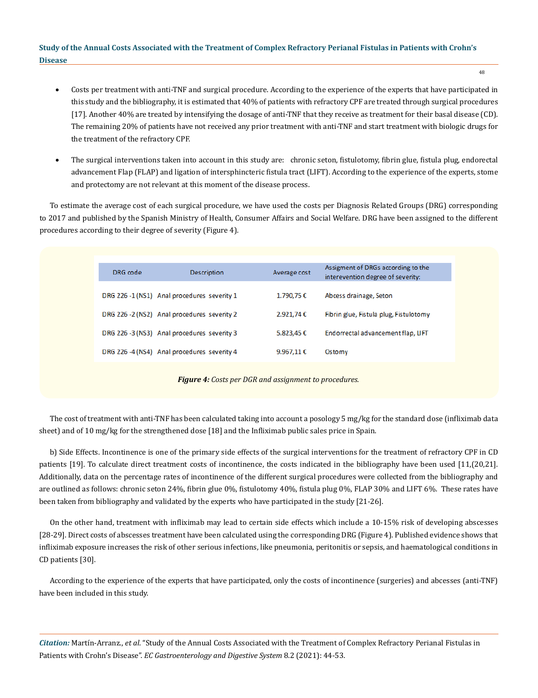- Costs per treatment with anti-TNF and surgical procedure. According to the experience of the experts that have participated in this study and the bibliography, it is estimated that 40% of patients with refractory CPF are treated through surgical procedures [17]. Another 40% are treated by intensifying the dosage of anti-TNF that they receive as treatment for their basal disease (CD). The remaining 20% of patients have not received any prior treatment with anti-TNF and start treatment with biologic drugs for the treatment of the refractory CPF.
- The surgical interventions taken into account in this study are: chronic seton, fistulotomy, fibrin glue, fistula plug, endorectal advancement Flap (FLAP) and ligation of intersphincteric fistula tract (LIFT). According to the experience of the experts, stome and protectomy are not relevant at this moment of the disease process.

To estimate the average cost of each surgical procedure, we have used the costs per Diagnosis Related Groups (DRG) corresponding to 2017 and published by the Spanish Ministry of Health, Consumer Affairs and Social Welfare. DRG have been assigned to the different procedures according to their degree of severity (Figure 4).

| DRG code                                                     | <b>Description</b>                          | Average cost        | Assigment of DRGs according to the<br>interevention degree of severity: |
|--------------------------------------------------------------|---------------------------------------------|---------------------|-------------------------------------------------------------------------|
|                                                              | DRG 226 -1 (NS1) Anal procedures severity 1 | 1.790,75€           | Abcess drainage, Seton                                                  |
|                                                              | DRG 226 -2 (NS2) Anal procedures severity 2 | 2.921,74€           | Fibrin glue, Fistula plug, Fistulotomy                                  |
|                                                              | DRG 226 -3 (NS3) Anal procedures severity 3 | 5.823,45€           | Endorrectal advancement flap, LIFT                                      |
|                                                              | DRG 226 -4 (NS4) Anal procedures severity 4 | 9.967.11 $\epsilon$ | Ostomy                                                                  |
| <b>Figure 4:</b> Costs per DGR and assignment to procedures. |                                             |                     |                                                                         |

The cost of treatment with anti-TNF has been calculated taking into account a posology 5 mg/kg for the standard dose (infliximab data sheet) and of 10 mg/kg for the strengthened dose [18] and the Infliximab public sales price in Spain.

b) Side Effects. Incontinence is one of the primary side effects of the surgical interventions for the treatment of refractory CPF in CD patients [19]. To calculate direct treatment costs of incontinence, the costs indicated in the bibliography have been used [11,(20,21]. Additionally, data on the percentage rates of incontinence of the different surgical procedures were collected from the bibliography and are outlined as follows: chronic seton 24%, fibrin glue 0%, fistulotomy 40%, fistula plug 0%, FLAP 30% and LIFT 6%. These rates have been taken from bibliography and validated by the experts who have participated in the study [21-26].

On the other hand, treatment with infliximab may lead to certain side effects which include a 10-15% risk of developing abscesses [28-29]. Direct costs of abscesses treatment have been calculated using the corresponding DRG (Figure 4). Published evidence shows that infliximab exposure increases the risk of other serious infections, like pneumonia, peritonitis or sepsis, and haematological conditions in CD patients [30].

According to the experience of the experts that have participated, only the costs of incontinence (surgeries) and abcesses (anti-TNF) have been included in this study.

*Citation:* Martín-Arranz., *et al*. "Study of the Annual Costs Associated with the Treatment of Complex Refractory Perianal Fistulas in Patients with Crohn's Disease". *EC Gastroenterology and Digestive System* 8.2 (2021): 44-53.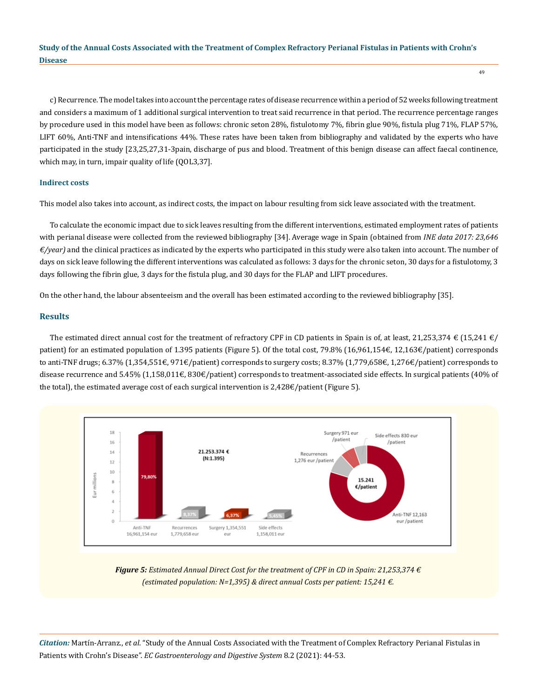c) Recurrence. The model takes into account the percentage rates of disease recurrence within a period of 52 weeks following treatment and considers a maximum of 1 additional surgical intervention to treat said recurrence in that period. The recurrence percentage ranges by procedure used in this model have been as follows: chronic seton 28%, fistulotomy 7%, fibrin glue 90%, fistula plug 71%, FLAP 57%, LIFT 60%, Anti-TNF and intensifications 44%. These rates have been taken from bibliography and validated by the experts who have participated in the study [23,25,27,31-3pain, discharge of pus and blood. Treatment of this benign disease can affect faecal continence, which may, in turn, impair quality of life (QOL3,37].

## **Indirect costs**

This model also takes into account, as indirect costs, the impact on labour resulting from sick leave associated with the treatment.

To calculate the economic impact due to sick leaves resulting from the different interventions, estimated employment rates of patients with perianal disease were collected from the reviewed bibliography [34]. Average wage in Spain (obtained from *INE data 2017: 23,646 €/year)* and the clinical practices as indicated by the experts who participated in this study were also taken into account. The number of days on sick leave following the different interventions was calculated as follows: 3 days for the chronic seton, 30 days for a fistulotomy, 3 days following the fibrin glue, 3 days for the fistula plug, and 30 days for the FLAP and LIFT procedures.

On the other hand, the labour absenteeism and the overall has been estimated according to the reviewed bibliography [35].

#### **Results**

The estimated direct annual cost for the treatment of refractory CPF in CD patients in Spain is of, at least, 21,253,374  $\in$  (15,241  $\in$ / patient) for an estimated population of 1.395 patients (Figure 5). Of the total cost, 79.8% (16,961,154€, 12,163€/patient) corresponds to anti-TNF drugs; 6.37% (1,354,551€, 971€/patient) corresponds to surgery costs; 8.37% (1,779,658€, 1,276€/patient) corresponds to disease recurrence and 5.45% (1,158,011€, 830€/patient) corresponds to treatment-associated side effects. In surgical patients (40% of the total), the estimated average cost of each surgical intervention is 2,428€/patient (Figure 5).



*Figure 5: Estimated Annual Direct Cost for the treatment of CPF in CD in Spain: 21,253,374 € (estimated population: N=1,395) & direct annual Costs per patient: 15,241 €.*

*Citation:* Martín-Arranz., *et al*. "Study of the Annual Costs Associated with the Treatment of Complex Refractory Perianal Fistulas in Patients with Crohn's Disease". *EC Gastroenterology and Digestive System* 8.2 (2021): 44-53.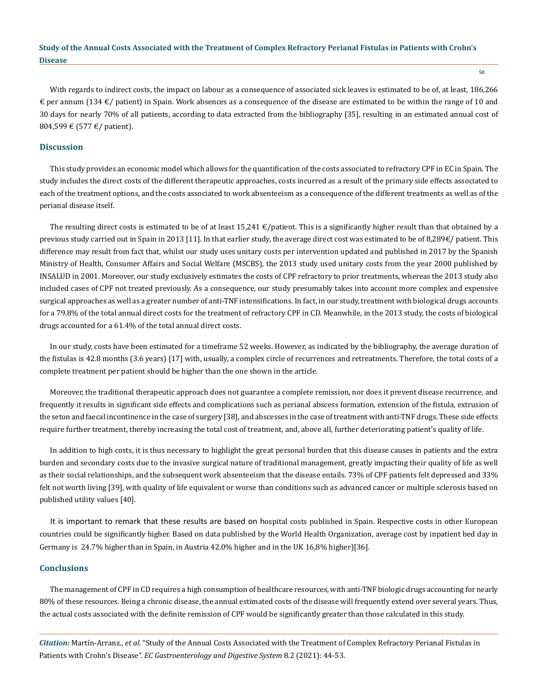50

With regards to indirect costs, the impact on labour as a consequence of associated sick leaves is estimated to be of, at least, 186,266  $\epsilon$  per annum (134  $\epsilon$ / patient) in Spain. Work absences as a consequence of the disease are estimated to be within the range of 10 and 30 days for nearly 70% of all patients, according to data extracted from the bibliography [35], resulting in an estimated annual cost of 804,599 € (577 €/ patient).

## **Discussion**

This study provides an economic model which allows for the quantification of the costs associated to refractory CPF in EC in Spain. The study includes the direct costs of the different therapeutic approaches, costs incurred as a result of the primary side effects associated to each of the treatment options, and the costs associated to work absenteeism as a consequence of the different treatments as well as of the perianal disease itself.

The resulting direct costs is estimated to be of at least  $15,241 \text{ } \in$ /patient. This is a significantly higher result than that obtained by a previous study carried out in Spain in 2013 [11]. In that earlier study, the average direct cost was estimated to be of 8,289€/ patient. This difference may result from fact that, whilst our study uses unitary costs per intervention updated and published in 2017 by the Spanish Ministry of Health, Consumer Affairs and Social Welfare (MSCBS), the 2013 study used unitary costs from the year 2000 published by INSALUD in 2001. Moreover, our study exclusively estimates the costs of CPF refractory to prior treatments, whereas the 2013 study also included cases of CPF not treated previously. As a consequence, our study presumably takes into account more complex and expensive surgical approaches as well as a greater number of anti-TNF intensifications. In fact, in our study, treatment with biological drugs accounts for a 79.8% of the total annual direct costs for the treatment of refractory CPF in CD. Meanwhile, in the 2013 study, the costs of biological drugs accounted for a 61.4% of the total annual direct costs.

In our study, costs have been estimated for a timeframe 52 weeks. However, as indicated by the bibliography, the average duration of the fistulas is 42.8 months (3.6 years) [17] with, usually, a complex circle of recurrences and retreatments. Therefore, the total costs of a complete treatment per patient should be higher than the one shown in the article.

Moreover, the traditional therapeutic approach does not guarantee a complete remission, nor does it prevent disease recurrence, and frequently it results in significant side effects and complications such as perianal abscess formation, extension of the fistula, extrusion of the seton and faecal incontinence in the case of surgery [38], and abscesses in the case of treatment with anti-TNF drugs. These side effects require further treatment, thereby increasing the total cost of treatment, and, above all, further deteriorating patient's quality of life.

In addition to high costs, it is thus necessary to highlight the great personal burden that this disease causes in patients and the extra burden and secondary costs due to the invasive surgical nature of traditional management, greatly impacting their quality of life as well as their social relationships, and the subsequent work absenteeism that the disease entails. 73% of CPF patients felt depressed and 33% felt not worth living [39], with quality of life equivalent or worse than conditions such as advanced cancer or multiple sclerosis based on published utility values [40].

It is important to remark that these results are based on hospital costs published in Spain. Respective costs in other European countries could be significantly higher. Based on data published by the World Health Organization, average cost by inpatient bed day in Germany is 24.7% higher than in Spain, in Austria 42.0% higher and in the UK 16,8% higher)[36].

#### **Conclusions**

The management of CPF in CD requires a high consumption of healthcare resources, with anti-TNF biologic drugs accounting for nearly 80% of these resources. Being a chronic disease, the annual estimated costs of the disease will frequently extend over several years. Thus, the actual costs associated with the definite remission of CPF would be significantly greater than those calculated in this study.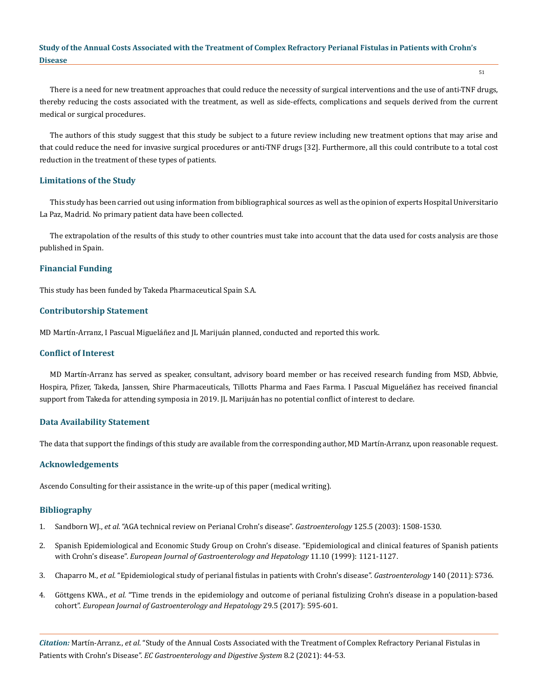51

There is a need for new treatment approaches that could reduce the necessity of surgical interventions and the use of anti-TNF drugs, thereby reducing the costs associated with the treatment, as well as side-effects, complications and sequels derived from the current medical or surgical procedures.

The authors of this study suggest that this study be subject to a future review including new treatment options that may arise and that could reduce the need for invasive surgical procedures or anti-TNF drugs [32]. Furthermore, all this could contribute to a total cost reduction in the treatment of these types of patients.

# **Limitations of the Study**

This study has been carried out using information from bibliographical sources as well as the opinion of experts Hospital Universitario La Paz, Madrid. No primary patient data have been collected.

The extrapolation of the results of this study to other countries must take into account that the data used for costs analysis are those published in Spain.

## **Financial Funding**

This study has been funded by Takeda Pharmaceutical Spain S.A.

## **Contributorship Statement**

MD Martín-Arranz, I Pascual Migueláñez and JL Marijuán planned, conducted and reported this work.

#### **Conflict of Interest**

MD Martín-Arranz has served as speaker, consultant, advisory board member or has received research funding from MSD, Abbvie, Hospira, Pfizer, Takeda, Janssen, Shire Pharmaceuticals, Tillotts Pharma and Faes Farma. I Pascual Migueláñez has received financial support from Takeda for attending symposia in 2019. JL Marijuánhas no potential conflict of interest to declare.

## **Data Availability Statement**

The data that support the findings of this study are available from the corresponding author, MD Martín-Arranz, upon reasonable request.

## **Acknowledgements**

Ascendo Consulting for their assistance in the write-up of this paper (medical writing).

## **Bibliography**

- 1. Sandborn WJ., *et al.* ["AGA technical review on Perianal Crohn's disease".](https://pubmed.ncbi.nlm.nih.gov/14598268/) *Gastroenterology* 125.5 (2003): 1508-1530.
- 2. [Spanish Epidemiological and Economic Study Group on Crohn's disease. "Epidemiological and clinical features of Spanish patients](https://pubmed.ncbi.nlm.nih.gov/10524641/)  with Crohn's disease". *[European Journal of Gastroenterology and Hepatology](https://pubmed.ncbi.nlm.nih.gov/10524641/)* 11.10 (1999): 1121-1127.
- 3. Chaparro M., *et al.* ["Epidemiological study of perianal fistulas in patients with Crohn's disease".](https://www.researchgate.net/publication/251727421_Epidemiological_Study_of_Perianal_Fistulas_in_Patients_With_Crohn%27s_Disease) *Gastroenterology* 140 (2011): S736.
- 4. Göttgens KWA., *et al.* ["Time trends in the epidemiology and outcome of perianal fistulizing Crohn's disease in a population-based](https://journals.lww.com/eurojgh/Abstract/2017/05000/Time_trends_in_the_epidemiology_and_outcome_of.16.aspx)  cohort". *[European Journal of Gastroenterology and Hepatology](https://journals.lww.com/eurojgh/Abstract/2017/05000/Time_trends_in_the_epidemiology_and_outcome_of.16.aspx)* 29.5 (2017): 595-601.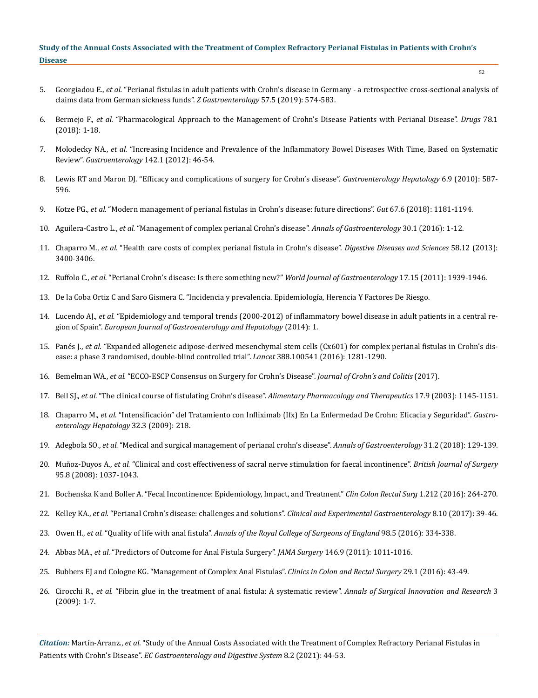- 5. Georgiadou E., *et al.* ["Perianal fistulas in adult patients with Crohn's disease in Germany a retrospective cross-sectional analysis of](https://pubmed.ncbi.nlm.nih.gov/30873578/)  [claims data from German sickness funds".](https://pubmed.ncbi.nlm.nih.gov/30873578/) *Z Gastroenterology* 57.5 (2019): 574-583.
- 6. Bermejo F., *et al.* ["Pharmacological Approach to the Management of Crohn's Disease Patients with Perianal Disease".](https://pubmed.ncbi.nlm.nih.gov/29139091/) *Drugs* 78.1 [\(2018\): 1-18.](https://pubmed.ncbi.nlm.nih.gov/29139091/)
- 7. Molodecky NA., *et al.* ["Increasing Incidence and Prevalence of the Inflammatory Bowel Diseases With Time, Based on Systematic](https://pubmed.ncbi.nlm.nih.gov/22001864/)  Review". *Gastroenterology* [142.1 \(2012\): 46-54.](https://pubmed.ncbi.nlm.nih.gov/22001864/)
- 8. [Lewis RT and Maron DJ. "Efficacy and complications of surgery for Crohn's disease".](https://www.ncbi.nlm.nih.gov/pmc/articles/PMC2976865/) *Gastroenterology Hepatology* 6.9 (2010): 587- [596.](https://www.ncbi.nlm.nih.gov/pmc/articles/PMC2976865/)
- 9. Kotze PG., *et al.* ["Modern management of perianal fistulas in Crohn's disease: future directions".](https://pubmed.ncbi.nlm.nih.gov/29331943/) *Gut* 67.6 (2018): 1181-1194.
- 10. Aguilera-Castro L., *et al.* ["Management of complex perianal Crohn's disease".](https://www.researchgate.net/publication/309519821_Management_of_complex_perianal_Crohn%27s_disease) *Annals of Gastroenterology* 30.1 (2016): 1-12.
- 11. Chaparro M., *et al.* ["Health care costs of complex perianal fistula in Crohn's disease".](https://pubmed.ncbi.nlm.nih.gov/24026400/) *Digestive Diseases and Sciences* 58.12 (2013): [3400-3406.](https://pubmed.ncbi.nlm.nih.gov/24026400/)
- 12. Ruffolo C., *et al.* ["Perianal Crohn's disease: Is there something new?"](https://pubmed.ncbi.nlm.nih.gov/21528071/) *World Journal of Gastroenterology* 17.15 (2011): 1939-1946.
- 13. De la Coba Ortiz C and Saro Gismera C. "Incidencia y prevalencia. Epidemiología, Herencia Y Factores De Riesgo.
- 14. Lucendo AJ., *et al.* ["Epidemiology and temporal trends \(2000-2012\) of inflammatory bowel disease in adult patients in a central re](https://pubmed.ncbi.nlm.nih.gov/25341061/)gion of Spain". *[European Journal of Gastroenterology and Hepatology](https://pubmed.ncbi.nlm.nih.gov/25341061/)* (2014): 1.
- 15. Panés J., *et al.* ["Expanded allogeneic adipose-derived mesenchymal stem cells \(Cx601\) for complex perianal fistulas in Crohn's dis](https://pubmed.ncbi.nlm.nih.gov/27477896/)[ease: a phase 3 randomised, double-blind controlled trial".](https://pubmed.ncbi.nlm.nih.gov/27477896/) *Lancet* 388.100541 (2016): 1281-1290.
- 16. Bemelman WA., *et al.* "ECCO-ESCP Consensus on Surgery for Crohn's Disease". *Journal of Crohn's and Colitis* (2017).
- 17. Bell SJ., *et al.* "The clinical course of fistulating Crohn's disease". *[Alimentary Pharmacology and Therapeutics](https://pubmed.ncbi.nlm.nih.gov/12752351/)* 17.9 (2003): 1145-1151.
- 18. Chaparro M., *et al.* ["Intensificación" del Tratamiento con Infliximab \(Ifx\) En La Enfermedad De Crohn: Eficacia y Seguridad".](https://www.sciencedirect.com/science/article/abs/pii/S0210570509001733) *Gastro[enterology Hepatology](https://www.sciencedirect.com/science/article/abs/pii/S0210570509001733)* 32.3 (2009): 218.
- 19. Adegbola SO., *et al.* ["Medical and surgical management of perianal crohn's disease".](https://www.ncbi.nlm.nih.gov/pmc/articles/PMC5825943/) *Annals of Gastroenterology* 31.2 (2018): 129-139.
- 20. Muñoz-Duyos A., *et al.* ["Clinical and cost effectiveness of sacral nerve stimulation for faecal incontinence".](https://pubmed.ncbi.nlm.nih.gov/18574847/) *British Journal of Surgery* [95.8 \(2008\): 1037-1043.](https://pubmed.ncbi.nlm.nih.gov/18574847/)
- 21. [Bochenska K and Boller A. "Fecal Incontinence: Epidemiology, Impact, and Treatment"](https://pubmed.ncbi.nlm.nih.gov/27582653/) *Clin Colon Rectal Surg* 1.212 (2016): 264-270.
- 22. Kelley KA., *et al.* ["Perianal Crohn's disease: challenges and solutions".](https://pubmed.ncbi.nlm.nih.gov/28223835/) *Clinical and Experimental Gastroenterology* 8.10 (2017): 39-46.
- 23. Owen H., *et al.* "Quality of life with anal fistula". *[Annals of the Royal College of Surgeons of England](https://www.ncbi.nlm.nih.gov/pmc/articles/PMC5227050/)* 98.5 (2016): 334-338.
- 24. Abbas MA., *et al.* ["Predictors of Outcome for Anal Fistula Surgery".](https://pubmed.ncbi.nlm.nih.gov/21930996/) *JAMA Surgery* 146.9 (2011): 1011-1016.
- 25. [Bubbers EJ and Cologne KG. "Management of Complex Anal Fistulas".](https://www.ncbi.nlm.nih.gov/pmc/articles/PMC4755767/) *Clinics in Colon and Rectal Surgery* 29.1 (2016): 43-49.
- 26. Cirocchi R., *et al.* ["Fibrin glue in the treatment of anal fistula: A systematic review".](https://www.ncbi.nlm.nih.gov/pmc/articles/PMC2784785/) *Annals of Surgical Innovation and Research* 3 [\(2009\): 1-7.](https://www.ncbi.nlm.nih.gov/pmc/articles/PMC2784785/)

*Citation:* Martín-Arranz., *et al*. "Study of the Annual Costs Associated with the Treatment of Complex Refractory Perianal Fistulas in Patients with Crohn's Disease". *EC Gastroenterology and Digestive System* 8.2 (2021): 44-53.